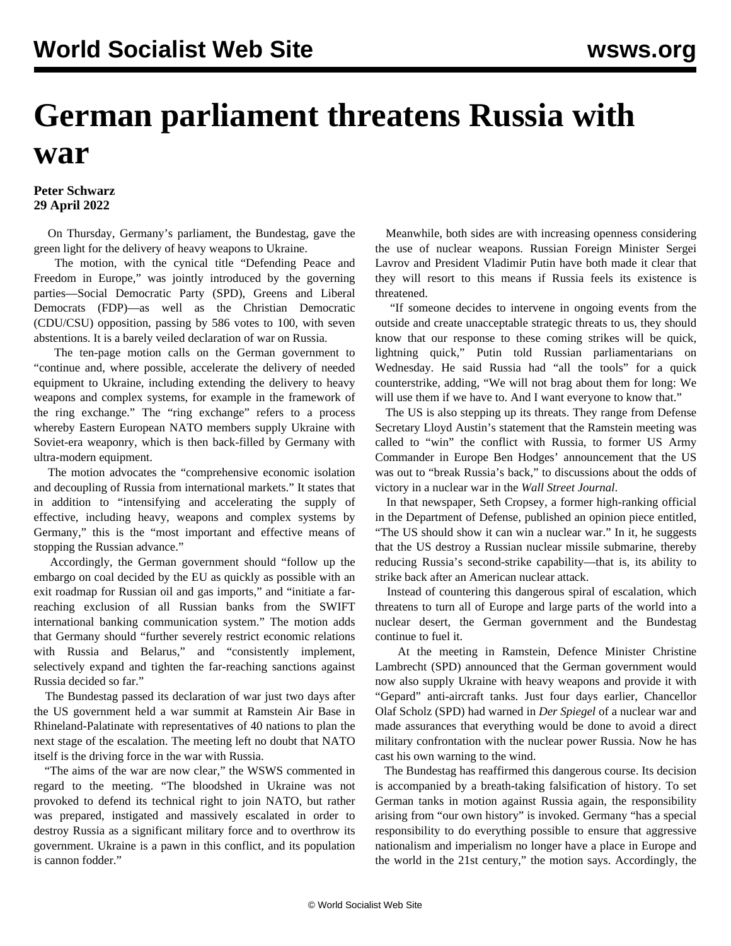## **German parliament threatens Russia with war**

## **Peter Schwarz 29 April 2022**

 On Thursday, Germany's parliament, the Bundestag, gave the green light for the delivery of heavy weapons to Ukraine.

 The motion, with the cynical title "Defending Peace and Freedom in Europe," was jointly introduced by the governing parties—Social Democratic Party (SPD), Greens and Liberal Democrats (FDP)—as well as the Christian Democratic (CDU/CSU) opposition, passing by 586 votes to 100, with seven abstentions. It is a barely veiled declaration of war on Russia.

 The ten-page motion calls on the German government to "continue and, where possible, accelerate the delivery of needed equipment to Ukraine, including extending the delivery to heavy weapons and complex systems, for example in the framework of the ring exchange." The "ring exchange" refers to a process whereby Eastern European NATO members supply Ukraine with Soviet-era weaponry, which is then back-filled by Germany with ultra-modern equipment.

 The motion advocates the "comprehensive economic isolation and decoupling of Russia from international markets." It states that in addition to "intensifying and accelerating the supply of effective, including heavy, weapons and complex systems by Germany," this is the "most important and effective means of stopping the Russian advance."

 Accordingly, the German government should "follow up the embargo on coal decided by the EU as quickly as possible with an exit roadmap for Russian oil and gas imports," and "initiate a farreaching exclusion of all Russian banks from the SWIFT international banking communication system." The motion adds that Germany should "further severely restrict economic relations with Russia and Belarus," and "consistently implement, selectively expand and tighten the far-reaching sanctions against Russia decided so far."

 The Bundestag passed its declaration of war just two days after the US government held a war summit at Ramstein Air Base in Rhineland-Palatinate with representatives of 40 nations to plan the next stage of the escalation. The meeting left no doubt that NATO itself is the driving force in the war with Russia.

 "The aims of the war are now clear," the WSWS [commented](/en/articles/2022/04/27/pszn-a27.html) in regard to the meeting. "The bloodshed in Ukraine was not provoked to defend its technical right to join NATO, but rather was prepared, instigated and massively escalated in order to destroy Russia as a significant military force and to overthrow its government. Ukraine is a pawn in this conflict, and its population is cannon fodder."

 Meanwhile, both sides are with increasing openness considering the use of nuclear weapons. Russian Foreign Minister Sergei Lavrov and President Vladimir Putin have both made it clear that they will resort to this means if Russia feels its existence is threatened.

 "If someone decides to intervene in ongoing events from the outside and create unacceptable strategic threats to us, they should know that our response to these coming strikes will be quick, lightning quick," Putin told Russian parliamentarians on Wednesday. He said Russia had "all the tools" for a quick counterstrike, adding, "We will not brag about them for long: We will use them if we have to. And I want everyone to know that."

 The US is also stepping up its threats. They range from Defense Secretary Lloyd Austin's statement that the Ramstein meeting was called to "win" the conflict with Russia, to former US Army Commander in Europe Ben Hodges' announcement that the US was out to "break Russia's back," to discussions about the odds of victory in a nuclear war in the *Wall Street Journal*.

 In that newspaper, Seth Cropsey, a former high-ranking official in the Department of Defense, published an opinion piece entitled, "The US should show it can win a nuclear war." In it, he suggests that the US destroy a Russian nuclear missile submarine, thereby reducing Russia's second-strike capability—that is, its ability to strike back after an American nuclear attack.

 Instead of countering this dangerous spiral of escalation, which threatens to turn all of Europe and large parts of the world into a nuclear desert, the German government and the Bundestag continue to fuel it.

 At the meeting in Ramstein, Defence Minister Christine Lambrecht (SPD) [announced](/en/articles/2022/04/28/ojdb-a28.html) that the German government would now also supply Ukraine with heavy weapons and provide it with "Gepard" anti-aircraft tanks. Just four days earlier, Chancellor Olaf Scholz (SPD) had warned in *Der Spiegel* of a nuclear war and made assurances that everything would be done to avoid a direct military confrontation with the nuclear power Russia. Now he has cast his own warning to the wind.

 The Bundestag has reaffirmed this dangerous course. Its decision is accompanied by a breath-taking falsification of history. To set German tanks in motion against Russia again, the responsibility arising from "our own history" is invoked. Germany "has a special responsibility to do everything possible to ensure that aggressive nationalism and imperialism no longer have a place in Europe and the world in the 21st century," the motion says. Accordingly, the